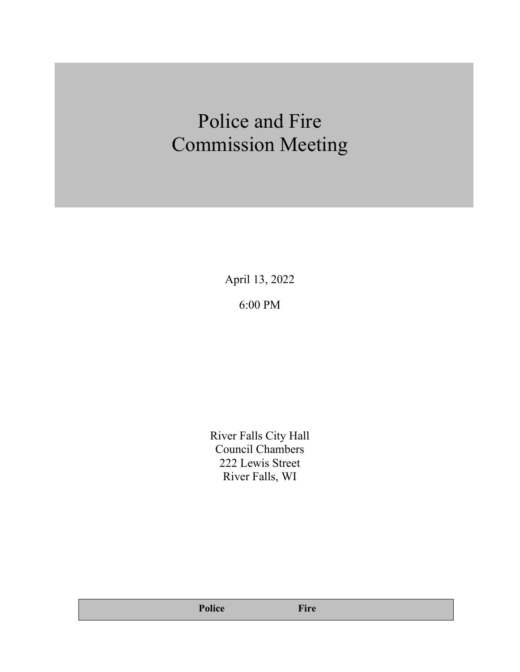# Police and Fire Commission Meeting

April 13, 2022 6:00 PM

River Falls City Hall Council Chambers 222 Lewis Street River Falls, WI

**Police Fire**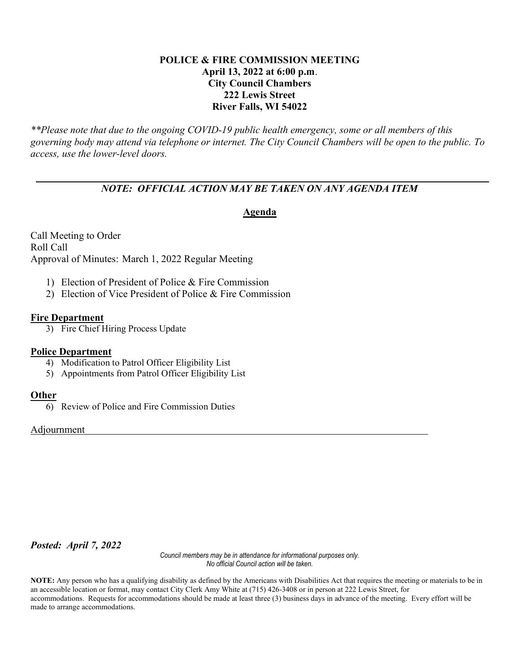## POLICE & FIRE COMMISSION MEETING April 13, 2022 at 6:00 p.m. City Council Chambers 222 Lewis Street River Falls, WI 54022

\*\*Please note that due to the ongoing COVID-19 public health emergency, some or all members of this governing body may attend via telephone or internet. The City Council Chambers will be open to the public. To access, use the lower-level doors.

# NOTE: OFFICIAL ACTION MAY BE TAKEN ON ANY AGENDA ITEM

## Agenda

Call Meeting to Order Roll Call Approval of Minutes: March 1, 2022 Regular Meeting

- 1) Election of President of Police & Fire Commission
- 2) Election of Vice President of Police & Fire Commission

## Fire Department

3) Fire Chief Hiring Process Update

## Police Department

- 4) Modification to Patrol Officer Eligibility List
- 5) Appointments from Patrol Officer Eligibility List

## Other

6) Review of Police and Fire Commission Duties

Adjournment

Posted: April 7, 2022

Council members may be in attendance for informational purposes only. No official Council action will be taken.

NOTE: Any person who has a qualifying disability as defined by the Americans with Disabilities Act that requires the meeting or materials to be in an accessible location or format, may contact City Clerk Amy White at (715) 426-3408 or in person at 222 Lewis Street, for accommodations. Requests for accommodations should be made at least three (3) business days in advance of the meeting. Every effort will be made to arrange accommodations.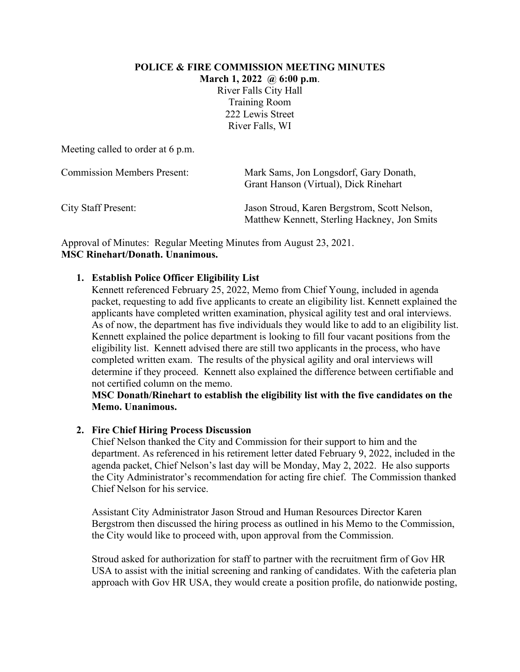#### **POLICE & FIRE COMMISSION MEETING MINUTES**

**March 1, 2022 @ 6:00 p.m**.

River Falls City Hall Training Room 222 Lewis Street River Falls, WI

Meeting called to order at 6 p.m.

| <b>Commission Members Present:</b> | Mark Sams, Jon Longsdorf, Gary Donath,<br>Grant Hanson (Virtual), Dick Rinehart              |
|------------------------------------|----------------------------------------------------------------------------------------------|
| <b>City Staff Present:</b>         | Jason Stroud, Karen Bergstrom, Scott Nelson,<br>Matthew Kennett, Sterling Hackney, Jon Smits |

Approval of Minutes: Regular Meeting Minutes from August 23, 2021. **MSC Rinehart/Donath. Unanimous.**

# **1. Establish Police Officer Eligibility List**

Kennett referenced February 25, 2022, Memo from Chief Young, included in agenda packet, requesting to add five applicants to create an eligibility list. Kennett explained the applicants have completed written examination, physical agility test and oral interviews. As of now, the department has five individuals they would like to add to an eligibility list. Kennett explained the police department is looking to fill four vacant positions from the eligibility list. Kennett advised there are still two applicants in the process, who have completed written exam. The results of the physical agility and oral interviews will determine if they proceed. Kennett also explained the difference between certifiable and not certified column on the memo.

## **MSC Donath/Rinehart to establish the eligibility list with the five candidates on the Memo. Unanimous.**

# **2. Fire Chief Hiring Process Discussion**

Chief Nelson thanked the City and Commission for their support to him and the department. As referenced in his retirement letter dated February 9, 2022, included in the agenda packet, Chief Nelson's last day will be Monday, May 2, 2022. He also supports the City Administrator's recommendation for acting fire chief. The Commission thanked Chief Nelson for his service.

Assistant City Administrator Jason Stroud and Human Resources Director Karen Bergstrom then discussed the hiring process as outlined in his Memo to the Commission, the City would like to proceed with, upon approval from the Commission.

Stroud asked for authorization for staff to partner with the recruitment firm of Gov HR USA to assist with the initial screening and ranking of candidates. With the cafeteria plan approach with Gov HR USA, they would create a position profile, do nationwide posting,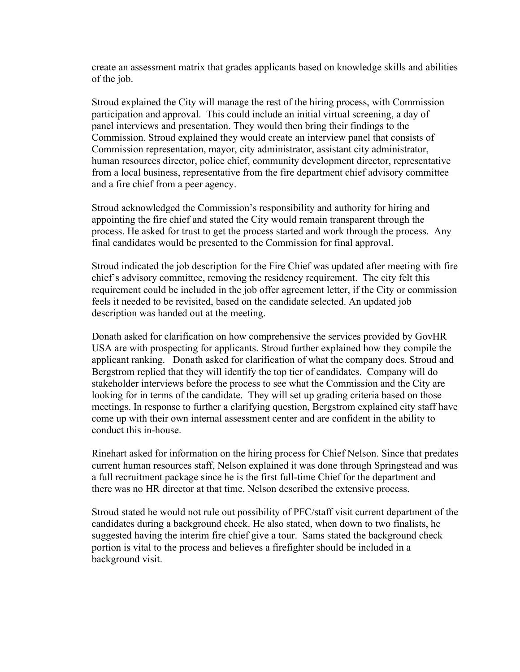create an assessment matrix that grades applicants based on knowledge skills and abilities of the job.

Stroud explained the City will manage the rest of the hiring process, with Commission participation and approval. This could include an initial virtual screening, a day of panel interviews and presentation. They would then bring their findings to the Commission. Stroud explained they would create an interview panel that consists of Commission representation, mayor, city administrator, assistant city administrator, human resources director, police chief, community development director, representative from a local business, representative from the fire department chief advisory committee and a fire chief from a peer agency.

Stroud acknowledged the Commission's responsibility and authority for hiring and appointing the fire chief and stated the City would remain transparent through the process. He asked for trust to get the process started and work through the process. Any final candidates would be presented to the Commission for final approval.

Stroud indicated the job description for the Fire Chief was updated after meeting with fire chief's advisory committee, removing the residency requirement. The city felt this requirement could be included in the job offer agreement letter, if the City or commission feels it needed to be revisited, based on the candidate selected. An updated job description was handed out at the meeting.

Donath asked for clarification on how comprehensive the services provided by GovHR USA are with prospecting for applicants. Stroud further explained how they compile the applicant ranking. Donath asked for clarification of what the company does. Stroud and Bergstrom replied that they will identify the top tier of candidates. Company will do stakeholder interviews before the process to see what the Commission and the City are looking for in terms of the candidate. They will set up grading criteria based on those meetings. In response to further a clarifying question, Bergstrom explained city staff have come up with their own internal assessment center and are confident in the ability to conduct this in-house.

Rinehart asked for information on the hiring process for Chief Nelson. Since that predates current human resources staff, Nelson explained it was done through Springstead and was a full recruitment package since he is the first full-time Chief for the department and there was no HR director at that time. Nelson described the extensive process.

Stroud stated he would not rule out possibility of PFC/staff visit current department of the candidates during a background check. He also stated, when down to two finalists, he suggested having the interim fire chief give a tour. Sams stated the background check portion is vital to the process and believes a firefighter should be included in a background visit.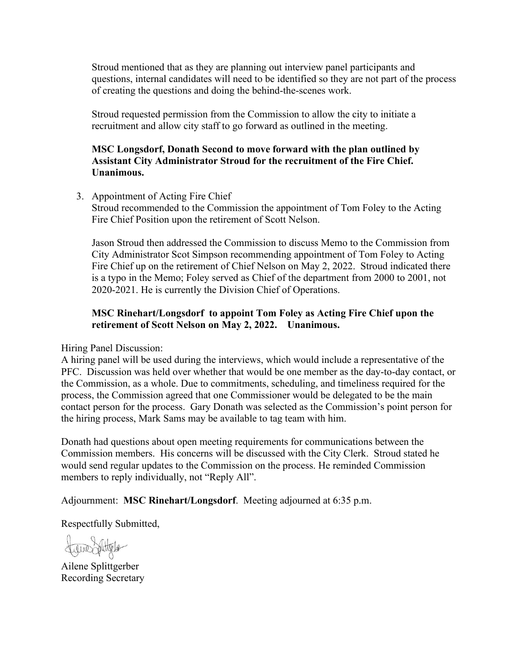Stroud mentioned that as they are planning out interview panel participants and questions, internal candidates will need to be identified so they are not part of the process of creating the questions and doing the behind-the-scenes work.

Stroud requested permission from the Commission to allow the city to initiate a recruitment and allow city staff to go forward as outlined in the meeting.

## **MSC Longsdorf, Donath Second to move forward with the plan outlined by Assistant City Administrator Stroud for the recruitment of the Fire Chief. Unanimous.**

3. Appointment of Acting Fire Chief

Stroud recommended to the Commission the appointment of Tom Foley to the Acting Fire Chief Position upon the retirement of Scott Nelson.

Jason Stroud then addressed the Commission to discuss Memo to the Commission from City Administrator Scot Simpson recommending appointment of Tom Foley to Acting Fire Chief up on the retirement of Chief Nelson on May 2, 2022.Stroud indicated there is a typo in the Memo; Foley served as Chief of the department from 2000 to 2001, not 2020-2021. He is currently the Division Chief of Operations.

# **MSC Rinehart/Longsdorf to appoint Tom Foley as Acting Fire Chief upon the retirement of Scott Nelson on May 2, 2022. Unanimous.**

Hiring Panel Discussion:

A hiring panel will be used during the interviews, which would include a representative of the PFC. Discussion was held over whether that would be one member as the day-to-day contact, or the Commission, as a whole. Due to commitments, scheduling, and timeliness required for the process, the Commission agreed that one Commissioner would be delegated to be the main contact person for the process. Gary Donath was selected as the Commission's point person for the hiring process, Mark Sams may be available to tag team with him.

Donath had questions about open meeting requirements for communications between the Commission members. His concerns will be discussed with the City Clerk. Stroud stated he would send regular updates to the Commission on the process. He reminded Commission members to reply individually, not "Reply All".

Adjournment: **MSC Rinehart/Longsdorf**. Meeting adjourned at 6:35 p.m.

Respectfully Submitted,

SveneSolityle

Ailene Splittgerber Recording Secretary